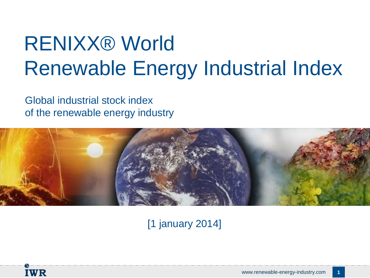# RENIXX® World Renewable Energy Industrial Index

Global industrial stock index of the renewable energy industry



[1 january 2014]

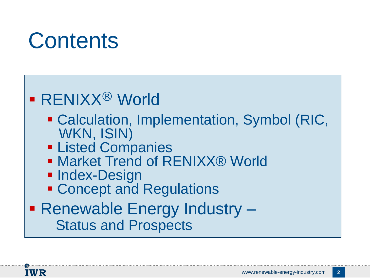# **Contents**

## ■ RENIXX<sup>®</sup> World

- Calculation, Implementation, Symbol (RIC, WKN, ISIN)
- **EListed Companies**
- Market Trend of RENIXX® World
- **Index-Design**
- **Exercise Concept and Regulations**
- Renewable Energy Industry Status and Prospects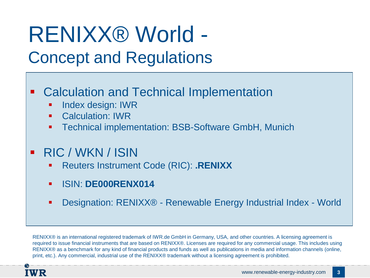# RENIXX® World - Concept and Regulations

## **EXEC** Calculation and Technical Implementation

- Index design: IWR
- Calculation: IWR
- Technical implementation: BSB-Software GmbH, Munich
- RIC / WKN / ISIN
	- Reuters Instrument Code (RIC): **.RENIXX**
	- ISIN: **DE000RENX014**
	- Designation: RENIXX® Renewable Energy Industrial Index World

RENIXX<sup>®</sup> is an international registered trademark of IWR.de GmbH in Germany, USA, and other countries. A licensing agreement is required to issue financial instruments that are based on RENIXX®. Licenses are required for any commercial usage. This includes using RENIXX® as a benchmark for any kind of financial products and funds as well as publications in media and information channels (online, print, etc.). Any commercial, industrial use of the RENIXX® trademark without a licensing agreement is prohibited.

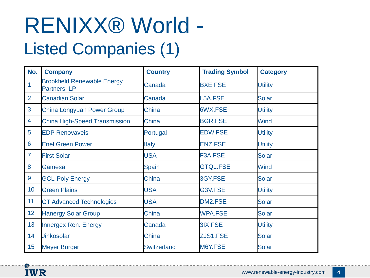# RENIXX® World - Listed Companies (1)

| No.             | <b>Company</b>                                     | <b>Country</b>     | <b>Trading Symbol</b> | <b>Category</b> |
|-----------------|----------------------------------------------------|--------------------|-----------------------|-----------------|
| $\overline{1}$  | <b>Brookfield Renewable Energy</b><br>Partners, LP | Canada             | <b>BXE.FSE</b>        | <b>Utility</b>  |
| $\overline{2}$  | <b>Canadian Solar</b>                              | Canada             | L5A.FSE               | Solar           |
| 3               | China Longyuan Power Group                         | China              | 6WX.FSE               | <b>Utility</b>  |
| 4               | <b>China High-Speed Transmission</b>               | China              | <b>BGR.FSE</b>        | <b>Wind</b>     |
| 5               | <b>EDP Renovaveis</b>                              | Portugal           | <b>EDW.FSE</b>        | <b>Utility</b>  |
| $6\phantom{1}6$ | <b>Enel Green Power</b>                            | <b>Italy</b>       | <b>ENZ.FSE</b>        | <b>Utility</b>  |
| $\overline{7}$  | <b>First Solar</b>                                 | <b>USA</b>         | F3A.FSE               | <b>Solar</b>    |
| 8               | Gamesa                                             | <b>Spain</b>       | GTQ1.FSE              | <b>Wind</b>     |
| 9               | <b>GCL-Poly Energy</b>                             | China              | 3GY.FSE               | <b>Solar</b>    |
| 10              | <b>Green Plains</b>                                | <b>USA</b>         | G3V.FSE               | <b>Utility</b>  |
| 11              | <b>GT Advanced Technologies</b>                    | <b>USA</b>         | DM2.FSE               | Solar           |
| 12              | <b>Hanergy Solar Group</b>                         | China              | <b>WPA.FSE</b>        | <b>Solar</b>    |
| 13              | Innergex Ren. Energy                               | Canada             | 3IX.FSE               | <b>Utility</b>  |
| 14              | <b>Jinkosolar</b>                                  | China              | ZJS1.FSE              | <b>Solar</b>    |
| 15              | <b>Meyer Burger</b>                                | <b>Switzerland</b> | M6Y.FSE               | Solar           |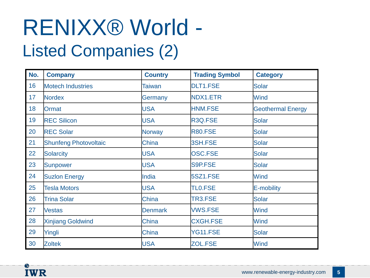# RENIXX® World - Listed Companies (2)

| No. | <b>Company</b>               | <b>Country</b> | <b>Trading Symbol</b> | <b>Category</b>          |
|-----|------------------------------|----------------|-----------------------|--------------------------|
| 16  | <b>Motech Industries</b>     | <b>Taiwan</b>  | <b>DLT1.FSE</b>       | <b>Solar</b>             |
| 17  | <b>Nordex</b>                | Germany        | NDX1.ETR              | <b>Wind</b>              |
| 18  | <b>Ormat</b>                 | <b>USA</b>     | <b>HNM.FSE</b>        | <b>Geothermal Energy</b> |
| 19  | <b>REC Silicon</b>           | <b>USA</b>     | R3Q.FSE               | <b>Solar</b>             |
| 20  | <b>REC Solar</b>             | <b>Norway</b>  | <b>R80.FSE</b>        | <b>Solar</b>             |
| 21  | <b>Shunfeng Photovoltaic</b> | China          | 3SH.FSE               | <b>Solar</b>             |
| 22  | <b>Solarcity</b>             | <b>USA</b>     | <b>OSC.FSE</b>        | <b>Solar</b>             |
| 23  | <b>Sunpower</b>              | <b>USA</b>     | S9P.FSE               | <b>Solar</b>             |
| 24  | <b>Suzlon Energy</b>         | India          | 5SZ1.FSE              | Wind                     |
| 25  | <b>Tesla Motors</b>          | <b>USA</b>     | <b>TLO.FSE</b>        | E-mobility               |
| 26  | <b>Trina Solar</b>           | China          | TR3.FSE               | <b>Solar</b>             |
| 27  | <b>Vestas</b>                | <b>Denmark</b> | <b>VWS.FSE</b>        | <b>Wind</b>              |
| 28  | <b>Xinjiang Goldwind</b>     | China          | <b>CXGH.FSE</b>       | <b>Wind</b>              |
| 29  | Yingli                       | China          | YG11.FSE              | <b>Solar</b>             |
| 30  | <b>Zoltek</b>                | <b>USA</b>     | <b>ZOL.FSE</b>        | <b>Wind</b>              |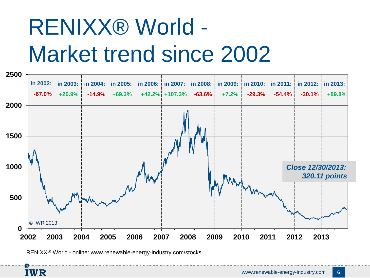# RENIXX® World - Market trend since 2002



RENIXX® World - online: www.renewable-energy-industry.com/stocks

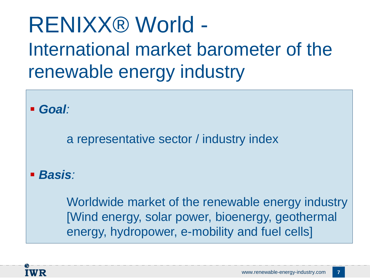# RENIXX® World - International market barometer of the renewable energy industry

*Goal:* 

a representative sector / industry index

*Basis:*

Worldwide market of the renewable energy industry [Wind energy, solar power, bioenergy, geothermal energy, hydropower, e-mobility and fuel cells]

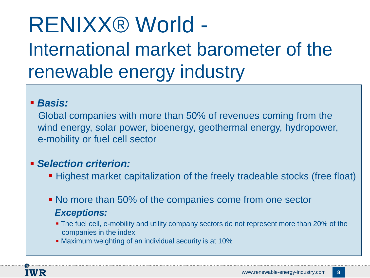# RENIXX® World - International market barometer of the renewable energy industry

## *Basis:*

 Global companies with more than 50% of revenues coming from the wind energy, solar power, bioenergy, geothermal energy, hydropower, e-mobility or fuel cell sector

## *Selection criterion:*

- Highest market capitalization of the freely tradeable stocks (free float)
- No more than 50% of the companies come from one sector *Exceptions:*
	- **The fuel cell, e-mobility and utility company sectors do not represent more than 20% of the** companies in the index
	- Maximum weighting of an individual security is at 10%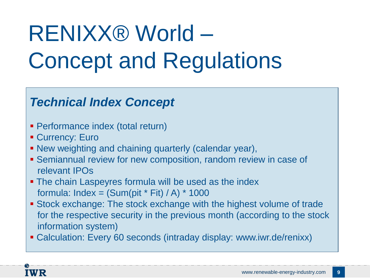# RENIXX® World – Concept and Regulations

## *Technical Index Concept*

- Performance index (total return)
- **Currency: Euro**
- New weighting and chaining quarterly (calendar year),
- Semiannual review for new composition, random review in case of relevant IPOs
- The chain Laspeyres formula will be used as the index formula: Index =  $(Sum(pit * Fit) / A) * 1000$
- Stock exchange: The stock exchange with the highest volume of trade for the respective security in the previous month (according to the stock information system)
- Calculation: Every 60 seconds (intraday display: www.iwr.de/renixx)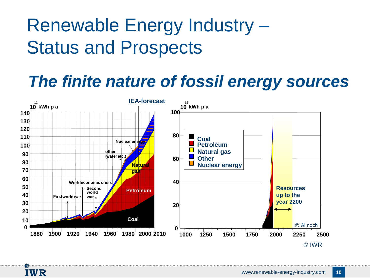# Renewable Energy Industry – Status and Prospects

## *The finite nature of fossil energy sources*



**IWR**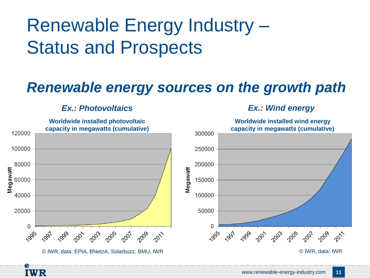# Renewable Energy Industry – Status and Prospects

## *Renewable energy sources on the growth path*

## *Ex.: Photovoltaics Ex.: Wind energy*

**IWR**